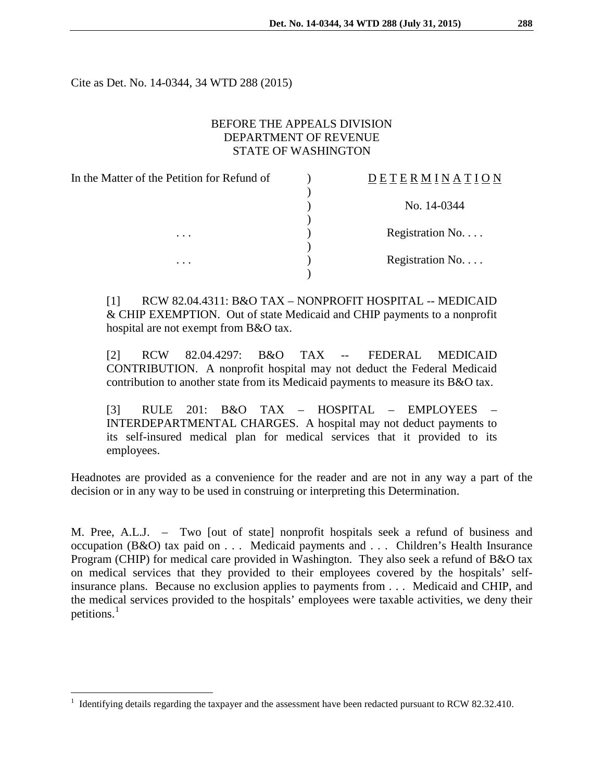Cite as Det. No. 14-0344, 34 WTD 288 (2015)

## BEFORE THE APPEALS DIVISION DEPARTMENT OF REVENUE STATE OF WASHINGTON

| In the Matter of the Petition for Refund of | <b>DETERMINATION</b>      |
|---------------------------------------------|---------------------------|
|                                             |                           |
|                                             | No. 14-0344               |
|                                             |                           |
| $\cdots$                                    | Registration $No. \ldots$ |
|                                             |                           |
| $\cdots$                                    | Registration No.          |
|                                             |                           |

[1] RCW 82.04.4311: B&O TAX – NONPROFIT HOSPITAL -- MEDICAID & CHIP EXEMPTION. Out of state Medicaid and CHIP payments to a nonprofit hospital are not exempt from B&O tax.

[2] RCW 82.04.4297: B&O TAX -- FEDERAL MEDICAID CONTRIBUTION. A nonprofit hospital may not deduct the Federal Medicaid contribution to another state from its Medicaid payments to measure its B&O tax.

[3] RULE 201: B&O TAX – HOSPITAL – EMPLOYEES – INTERDEPARTMENTAL CHARGES. A hospital may not deduct payments to its self-insured medical plan for medical services that it provided to its employees.

Headnotes are provided as a convenience for the reader and are not in any way a part of the decision or in any way to be used in construing or interpreting this Determination.

M. Pree, A.L.J. – Two [out of state] nonprofit hospitals seek a refund of business and occupation (B&O) tax paid on . . . Medicaid payments and . . . Children's Health Insurance Program (CHIP) for medical care provided in Washington. They also seek a refund of B&O tax on medical services that they provided to their employees covered by the hospitals' selfinsurance plans. Because no exclusion applies to payments from . . . Medicaid and CHIP, and the medical services provided to the hospitals' employees were taxable activities, we deny their petitions. $<sup>1</sup>$  $<sup>1</sup>$  $<sup>1</sup>$ </sup>

<span id="page-0-0"></span> <sup>1</sup> Identifying details regarding the taxpayer and the assessment have been redacted pursuant to RCW 82.32.410.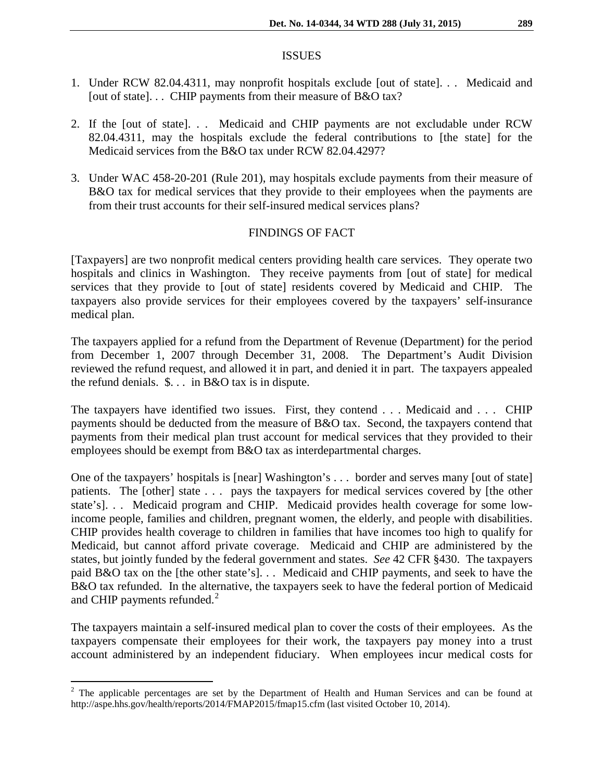#### ISSUES

- 1. Under RCW 82.04.4311, may nonprofit hospitals exclude [out of state]. . . Medicaid and [out of state]... CHIP payments from their measure of B&O tax?
- 2. If the [out of state]. . . Medicaid and CHIP payments are not excludable under RCW 82.04.4311, may the hospitals exclude the federal contributions to [the state] for the Medicaid services from the B&O tax under RCW 82.04.4297?
- 3. Under WAC 458-20-201 (Rule 201), may hospitals exclude payments from their measure of B&O tax for medical services that they provide to their employees when the payments are from their trust accounts for their self-insured medical services plans?

## FINDINGS OF FACT

[Taxpayers] are two nonprofit medical centers providing health care services. They operate two hospitals and clinics in Washington. They receive payments from [out of state] for medical services that they provide to [out of state] residents covered by Medicaid and CHIP. The taxpayers also provide services for their employees covered by the taxpayers' self-insurance medical plan.

The taxpayers applied for a refund from the Department of Revenue (Department) for the period from December 1, 2007 through December 31, 2008. The Department's Audit Division reviewed the refund request, and allowed it in part, and denied it in part. The taxpayers appealed the refund denials. \$. . . in B&O tax is in dispute.

The taxpayers have identified two issues. First, they contend . . . Medicaid and . . . CHIP payments should be deducted from the measure of B&O tax. Second, the taxpayers contend that payments from their medical plan trust account for medical services that they provided to their employees should be exempt from B&O tax as interdepartmental charges.

One of the taxpayers' hospitals is [near] Washington's . . . border and serves many [out of state] patients. The [other] state . . . pays the taxpayers for medical services covered by [the other state's]. . . Medicaid program and CHIP. Medicaid provides health coverage for some lowincome people, families and children, pregnant women, the elderly, and people with disabilities. CHIP provides health coverage to children in families that have incomes too high to qualify for Medicaid, but cannot afford private coverage. Medicaid and CHIP are administered by the states, but jointly funded by the federal government and states. *See* 42 CFR §430. The taxpayers paid B&O tax on the [the other state's]. . . Medicaid and CHIP payments, and seek to have the B&O tax refunded. In the alternative, the taxpayers seek to have the federal portion of Medicaid and CHIP payments refunded. $^{2}$  $^{2}$  $^{2}$ 

The taxpayers maintain a self-insured medical plan to cover the costs of their employees. As the taxpayers compensate their employees for their work, the taxpayers pay money into a trust account administered by an independent fiduciary. When employees incur medical costs for

<span id="page-1-0"></span><sup>&</sup>lt;sup>2</sup> The applicable percentages are set by the Department of Health and Human Services and can be found at http://aspe.hhs.gov/health/reports/2014/FMAP2015/fmap15.cfm (last visited October 10, 2014).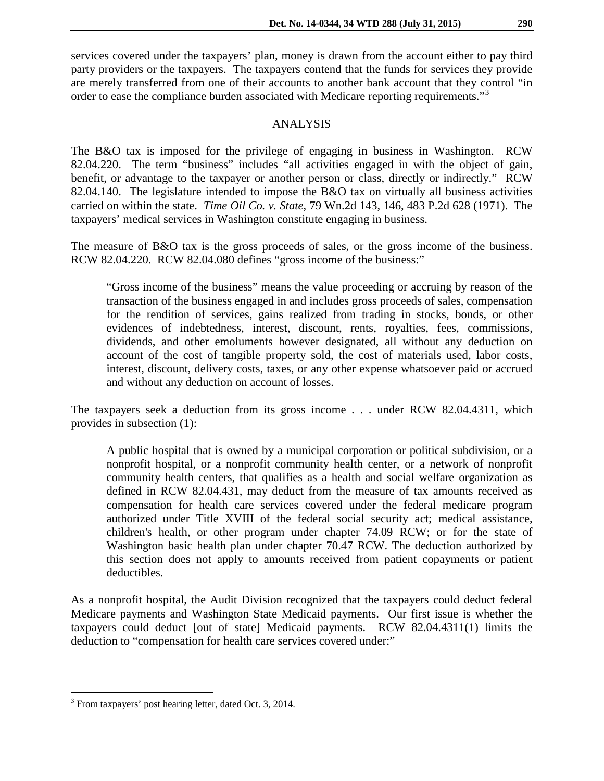services covered under the taxpayers' plan, money is drawn from the account either to pay third party providers or the taxpayers. The taxpayers contend that the funds for services they provide are merely transferred from one of their accounts to another bank account that they control "in order to ease the compliance burden associated with Medicare reporting requirements."<sup>[3](#page-2-0)</sup>

## ANALYSIS

The B&O tax is imposed for the privilege of engaging in business in Washington. RCW 82.04.220. The term "business" includes "all activities engaged in with the object of gain, benefit, or advantage to the taxpayer or another person or class, directly or indirectly." RCW 82.04.140. The legislature intended to impose the B&O tax on virtually all business activities carried on within the state. *Time Oil Co. v. State*, 79 Wn.2d 143, 146, 483 P.2d 628 (1971). The taxpayers' medical services in Washington constitute engaging in business.

The measure of B&O tax is the gross proceeds of sales, or the gross income of the business. RCW 82.04.220. RCW 82.04.080 defines "gross income of the business:"

"Gross income of the business" means the value proceeding or accruing by reason of the transaction of the business engaged in and includes gross proceeds of sales, compensation for the rendition of services, gains realized from trading in stocks, bonds, or other evidences of indebtedness, interest, discount, rents, royalties, fees, commissions, dividends, and other emoluments however designated, all without any deduction on account of the cost of tangible property sold, the cost of materials used, labor costs, interest, discount, delivery costs, taxes, or any other expense whatsoever paid or accrued and without any deduction on account of losses.

The taxpayers seek a deduction from its gross income . . . under RCW 82.04.4311, which provides in subsection (1):

A public hospital that is owned by a municipal corporation or political subdivision, or a nonprofit hospital, or a nonprofit community health center, or a network of nonprofit community health centers, that qualifies as a health and social welfare organization as defined in RCW 82.04.431, may deduct from the measure of tax amounts received as compensation for health care services covered under the federal medicare program authorized under Title XVIII of the federal social security act; medical assistance, children's health, or other program under chapter 74.09 RCW; or for the state of Washington basic health plan under chapter 70.47 RCW. The deduction authorized by this section does not apply to amounts received from patient copayments or patient deductibles.

As a nonprofit hospital, the Audit Division recognized that the taxpayers could deduct federal Medicare payments and Washington State Medicaid payments. Our first issue is whether the taxpayers could deduct [out of state] Medicaid payments. RCW 82.04.4311(1) limits the deduction to "compensation for health care services covered under:"

<span id="page-2-0"></span><sup>&</sup>lt;sup>3</sup> From taxpayers' post hearing letter, dated Oct. 3, 2014.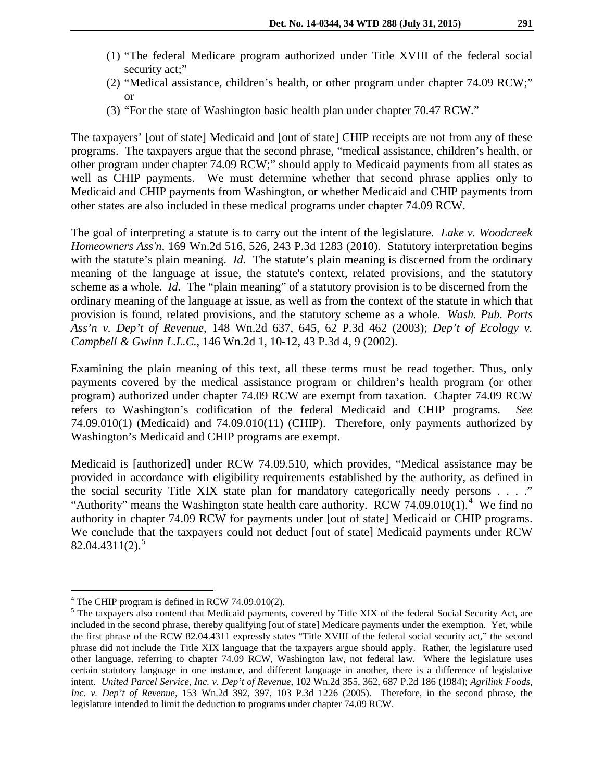- (1) "The federal Medicare program authorized under Title XVIII of the federal social security act;"
- (2) "Medical assistance, children's health, or other program under chapter 74.09 RCW;" or
- (3) "For the state of Washington basic health plan under chapter 70.47 RCW."

The taxpayers' [out of state] Medicaid and [out of state] CHIP receipts are not from any of these programs. The taxpayers argue that the second phrase, "medical assistance, children's health, or other program under chapter 74.09 RCW;" should apply to Medicaid payments from all states as well as CHIP payments. We must determine whether that second phrase applies only to Medicaid and CHIP payments from Washington, or whether Medicaid and CHIP payments from other states are also included in these medical programs under chapter 74.09 RCW.

The goal of interpreting a statute is to carry out the intent of the legislature. *Lake v. Woodcreek Homeowners Ass'n,* 169 Wn.2d 516, 526, 243 P.3d 1283 (2010). Statutory interpretation begins with the statute's plain meaning. *Id.* The statute's plain meaning is discerned from the ordinary meaning of the language at issue, the statute's context, related provisions, and the statutory scheme as a whole. *Id.* The "plain meaning" of a statutory provision is to be discerned from the ordinary meaning of the language at issue, as well as from the context of the statute in which that provision is found, related provisions, and the statutory scheme as a whole. *Wash. Pub. Ports Ass'n v. Dep't of Revenue*, 148 Wn.2d 637, 645, 62 P.3d 462 (2003); *Dep't of Ecology v. Campbell & Gwinn L.L.C.*, 146 Wn.2d 1, 10-12, 43 P.3d 4, 9 (2002).

Examining the plain meaning of this text, all these terms must be read together. Thus, only payments covered by the medical assistance program or children's health program (or other program) authorized under chapter 74.09 RCW are exempt from taxation. Chapter 74.09 RCW refers to Washington's codification of the federal Medicaid and CHIP programs. *See*  74.09.010(1) (Medicaid) and 74.09.010(11) (CHIP). Therefore, only payments authorized by Washington's Medicaid and CHIP programs are exempt.

Medicaid is [authorized] under RCW 74.09.510, which provides, "Medical assistance may be provided in accordance with eligibility requirements established by the authority, as defined in the social security Title XIX state plan for mandatory categorically needy persons . . . ." "Authority" means the Washington state health care authority. RCW 7[4](#page-3-0).09.010(1).<sup>4</sup> We find no authority in chapter 74.09 RCW for payments under [out of state] Medicaid or CHIP programs. We conclude that the taxpayers could not deduct [out of state] Medicaid payments under RCW  $82.04.4311(2).^{5}$  $82.04.4311(2).^{5}$  $82.04.4311(2).^{5}$ 

<span id="page-3-0"></span> $4$  The CHIP program is defined in RCW 74.09.010(2).

<span id="page-3-1"></span><sup>&</sup>lt;sup>5</sup> The taxpayers also contend that Medicaid payments, covered by Title XIX of the federal Social Security Act, are included in the second phrase, thereby qualifying [out of state] Medicare payments under the exemption. Yet, while the first phrase of the RCW 82.04.4311 expressly states "Title XVIII of the federal social security act," the second phrase did not include the Title XIX language that the taxpayers argue should apply. Rather, the legislature used other language, referring to chapter 74.09 RCW, Washington law, not federal law. Where the legislature uses certain statutory language in one instance, and different language in another, there is a difference of legislative intent. *United Parcel Service, Inc. v. Dep't of Revenue*, 102 Wn.2d 355, 362, 687 P.2d 186 (1984); *Agrilink Foods, Inc. v. Dep't of Revenue*, 153 Wn.2d 392, 397, 103 P.3d 1226 (2005). Therefore, in the second phrase, the legislature intended to limit the deduction to programs under chapter 74.09 RCW.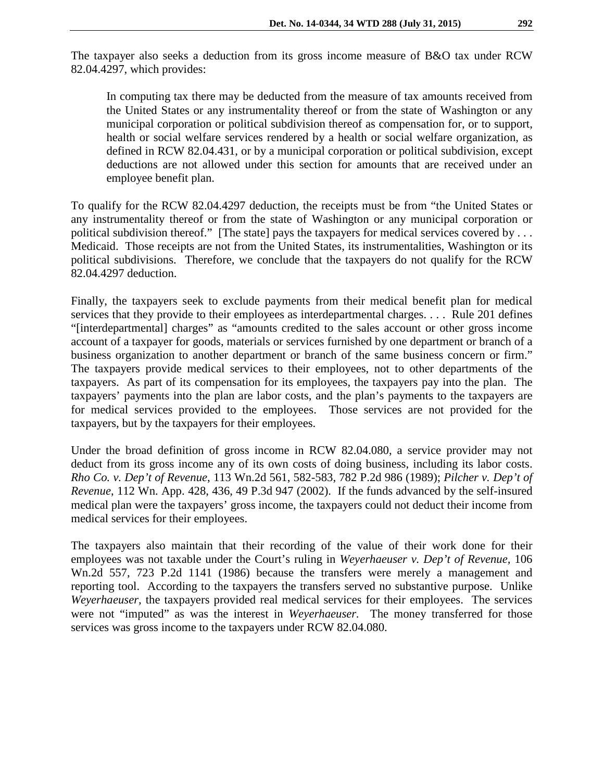In computing tax there may be deducted from the measure of tax amounts received from the United States or any instrumentality thereof or from the state of Washington or any municipal corporation or political subdivision thereof as compensation for, or to support, health or social welfare services rendered by a health or social welfare organization, as defined in RCW 82.04.431, or by a municipal corporation or political subdivision, except deductions are not allowed under this section for amounts that are received under an employee benefit plan.

To qualify for the RCW 82.04.4297 deduction, the receipts must be from "the United States or any instrumentality thereof or from the state of Washington or any municipal corporation or political subdivision thereof." [The state] pays the taxpayers for medical services covered by ... Medicaid. Those receipts are not from the United States, its instrumentalities, Washington or its political subdivisions. Therefore, we conclude that the taxpayers do not qualify for the RCW 82.04.4297 deduction.

Finally, the taxpayers seek to exclude payments from their medical benefit plan for medical services that they provide to their employees as interdepartmental charges. . . . Rule 201 defines "[interdepartmental] charges" as "amounts credited to the sales account or other gross income account of a taxpayer for goods, materials or services furnished by one department or branch of a business organization to another department or branch of the same business concern or firm." The taxpayers provide medical services to their employees, not to other departments of the taxpayers. As part of its compensation for its employees, the taxpayers pay into the plan. The taxpayers' payments into the plan are labor costs, and the plan's payments to the taxpayers are for medical services provided to the employees. Those services are not provided for the taxpayers, but by the taxpayers for their employees.

Under the broad definition of gross income in RCW 82.04.080, a service provider may not deduct from its gross income any of its own costs of doing business, including its labor costs. *Rho Co. v. Dep't of Revenue*, 113 Wn.2d 561, 582-583, 782 P.2d 986 (1989); *Pilcher v. Dep't of Revenue*, 112 Wn. App. 428, 436, 49 P.3d 947 (2002). If the funds advanced by the self-insured medical plan were the taxpayers' gross income, the taxpayers could not deduct their income from medical services for their employees.

The taxpayers also maintain that their recording of the value of their work done for their employees was not taxable under the Court's ruling in *Weyerhaeuser v. Dep't of Revenue,* 106 Wn.2d 557, 723 P.2d 1141 (1986) because the transfers were merely a management and reporting tool. According to the taxpayers the transfers served no substantive purpose. Unlike *Weyerhaeuser,* the taxpayers provided real medical services for their employees. The services were not "imputed" as was the interest in *Weyerhaeuser.* The money transferred for those services was gross income to the taxpayers under RCW 82.04.080.